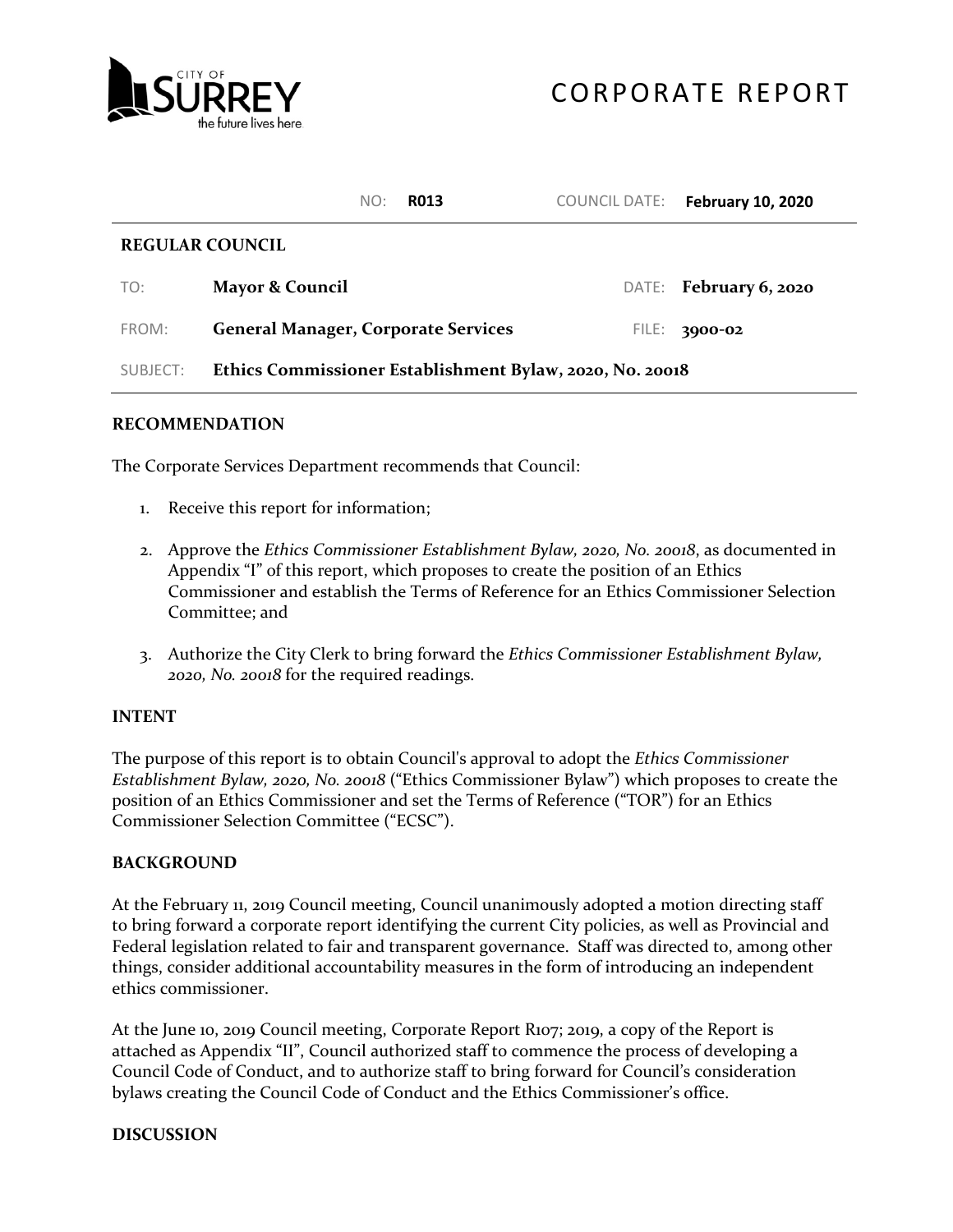

|                        | NO:<br><b>RO13</b>                                       | COUNCIL DATE: | <b>February 10, 2020</b> |  |  |  |
|------------------------|----------------------------------------------------------|---------------|--------------------------|--|--|--|
| <b>REGULAR COUNCIL</b> |                                                          |               |                          |  |  |  |
| TO:                    | <b>Mayor &amp; Council</b>                               |               | DATE: February 6, 2020   |  |  |  |
| FROM:                  | <b>General Manager, Corporate Services</b>               | FILE:         | 3000-02                  |  |  |  |
| SUBJECT:               | Ethics Commissioner Establishment Bylaw, 2020, No. 20018 |               |                          |  |  |  |

## **RECOMMENDATION**

The Corporate Services Department recommends that Council:

- 1. Receive this report for information;
- 2. Approve the *Ethics Commissioner Establishment Bylaw, 2020, No. 20018*, as documented in Appendix "I" of this report, which proposes to create the position of an Ethics Commissioner and establish the Terms of Reference for an Ethics Commissioner Selection Committee; and
- 3. Authorize the City Clerk to bring forward the *Ethics Commissioner Establishment Bylaw, 2020, No. 20018* for the required readings.

## **INTENT**

The purpose of this report is to obtain Council's approval to adopt the *Ethics Commissioner Establishment Bylaw, 2020, No. 20018* ("Ethics Commissioner Bylaw") which proposes to create the position of an Ethics Commissioner and set the Terms of Reference ("TOR") for an Ethics Commissioner Selection Committee ("ECSC").

## **BACKGROUND**

At the February 11, 2019 Council meeting, Council unanimously adopted a motion directing staff to bring forward a corporate report identifying the current City policies, as well as Provincial and Federal legislation related to fair and transparent governance. Staff was directed to, among other things, consider additional accountability measures in the form of introducing an independent ethics commissioner.

At the June 10, 2019 Council meeting, Corporate Report R107; 2019, a copy of the Report is attached as Appendix "II", Council authorized staff to commence the process of developing a Council Code of Conduct, and to authorize staff to bring forward for Council's consideration bylaws creating the Council Code of Conduct and the Ethics Commissioner's office.

## **DISCUSSION**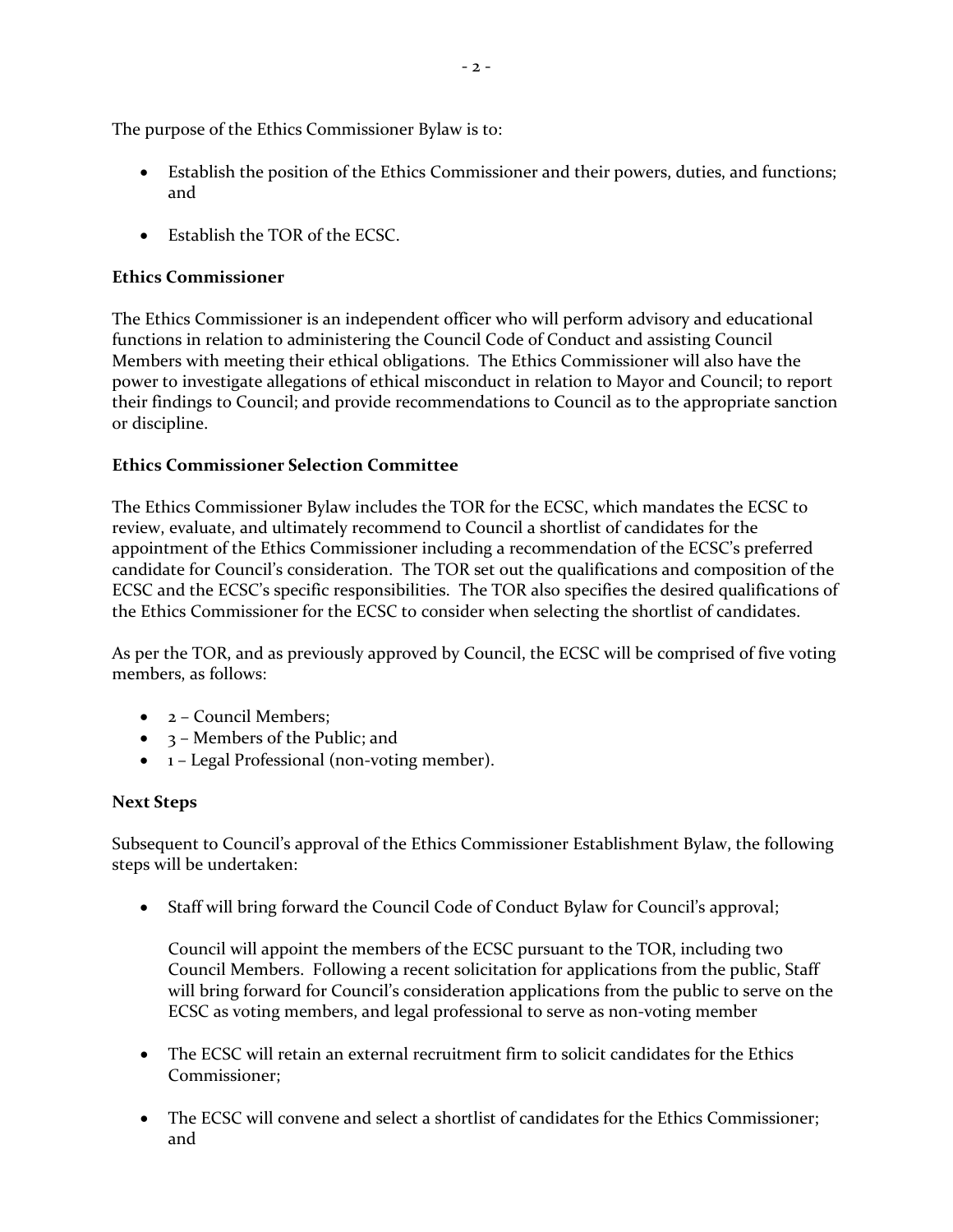The purpose of the Ethics Commissioner Bylaw is to:

- Establish the position of the Ethics Commissioner and their powers, duties, and functions; and
- Establish the TOR of the ECSC.

## **Ethics Commissioner**

The Ethics Commissioner is an independent officer who will perform advisory and educational functions in relation to administering the Council Code of Conduct and assisting Council Members with meeting their ethical obligations. The Ethics Commissioner will also have the power to investigate allegations of ethical misconduct in relation to Mayor and Council; to report their findings to Council; and provide recommendations to Council as to the appropriate sanction or discipline.

## **Ethics Commissioner Selection Committee**

The Ethics Commissioner Bylaw includes the TOR for the ECSC, which mandates the ECSC to review, evaluate, and ultimately recommend to Council a shortlist of candidates for the appointment of the Ethics Commissioner including a recommendation of the ECSC's preferred candidate for Council's consideration. The TOR set out the qualifications and composition of the ECSC and the ECSC's specific responsibilities. The TOR also specifies the desired qualifications of the Ethics Commissioner for the ECSC to consider when selecting the shortlist of candidates.

As per the TOR, and as previously approved by Council, the ECSC will be comprised of five voting members, as follows:

- 2 Council Members;
- 3 Members of the Public; and
- 1 Legal Professional (non-voting member).

## **Next Steps**

Subsequent to Council's approval of the Ethics Commissioner Establishment Bylaw, the following steps will be undertaken:

• Staff will bring forward the Council Code of Conduct Bylaw for Council's approval;

Council will appoint the members of the ECSC pursuant to the TOR, including two Council Members. Following a recent solicitation for applications from the public, Staff will bring forward for Council's consideration applications from the public to serve on the ECSC as voting members, and legal professional to serve as non-voting member

- The ECSC will retain an external recruitment firm to solicit candidates for the Ethics Commissioner;
- The ECSC will convene and select a shortlist of candidates for the Ethics Commissioner; and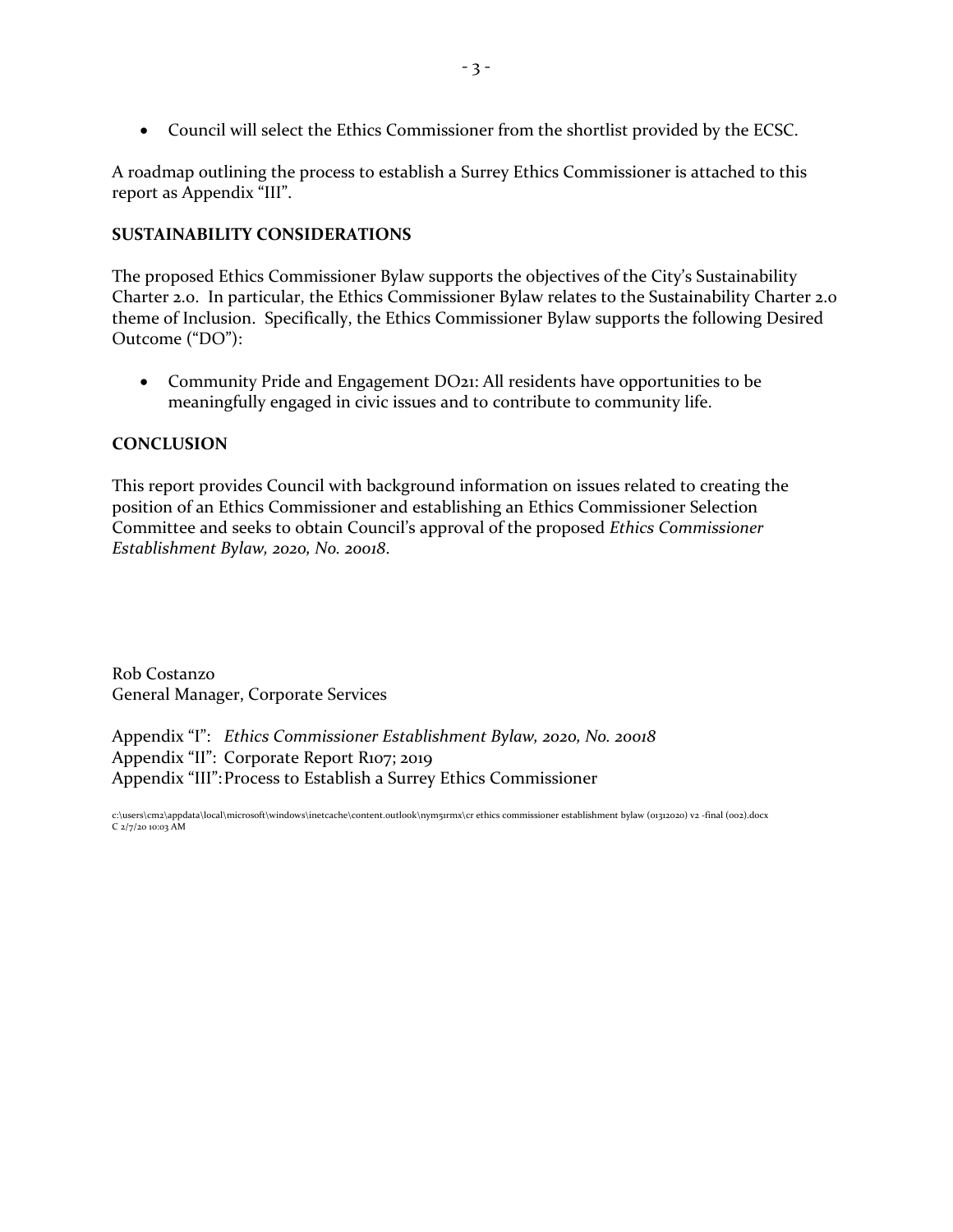• Council will select the Ethics Commissioner from the shortlist provided by the ECSC.

A roadmap outlining the process to establish a Surrey Ethics Commissioner is attached to this report as Appendix "III".

## **SUSTAINABILITY CONSIDERATIONS**

The proposed Ethics Commissioner Bylaw supports the objectives of the City's Sustainability Charter 2.0. In particular, the Ethics Commissioner Bylaw relates to the Sustainability Charter 2.0 theme of Inclusion. Specifically, the Ethics Commissioner Bylaw supports the following Desired Outcome ("DO"):

• Community Pride and Engagement DO21: All residents have opportunities to be meaningfully engaged in civic issues and to contribute to community life.

## **CONCLUSION**

This report provides Council with background information on issues related to creating the position of an Ethics Commissioner and establishing an Ethics Commissioner Selection Committee and seeks to obtain Council's approval of the proposed *Ethics Commissioner Establishment Bylaw, 2020, No. 20018*.

Rob Costanzo General Manager, Corporate Services

Appendix "I": *Ethics Commissioner Establishment Bylaw, 2020, No. 20018* Appendix "II": Corporate Report R107; 2019 Appendix "III":Process to Establish a Surrey Ethics Commissioner

c:\users\cm2\appdata\local\microsoft\windows\inetcache\content.outlook\nym51rmx\cr ethics commissioner establishment bylaw (01312020) v2 -final (002).docx C 2/7/20 10:03 AM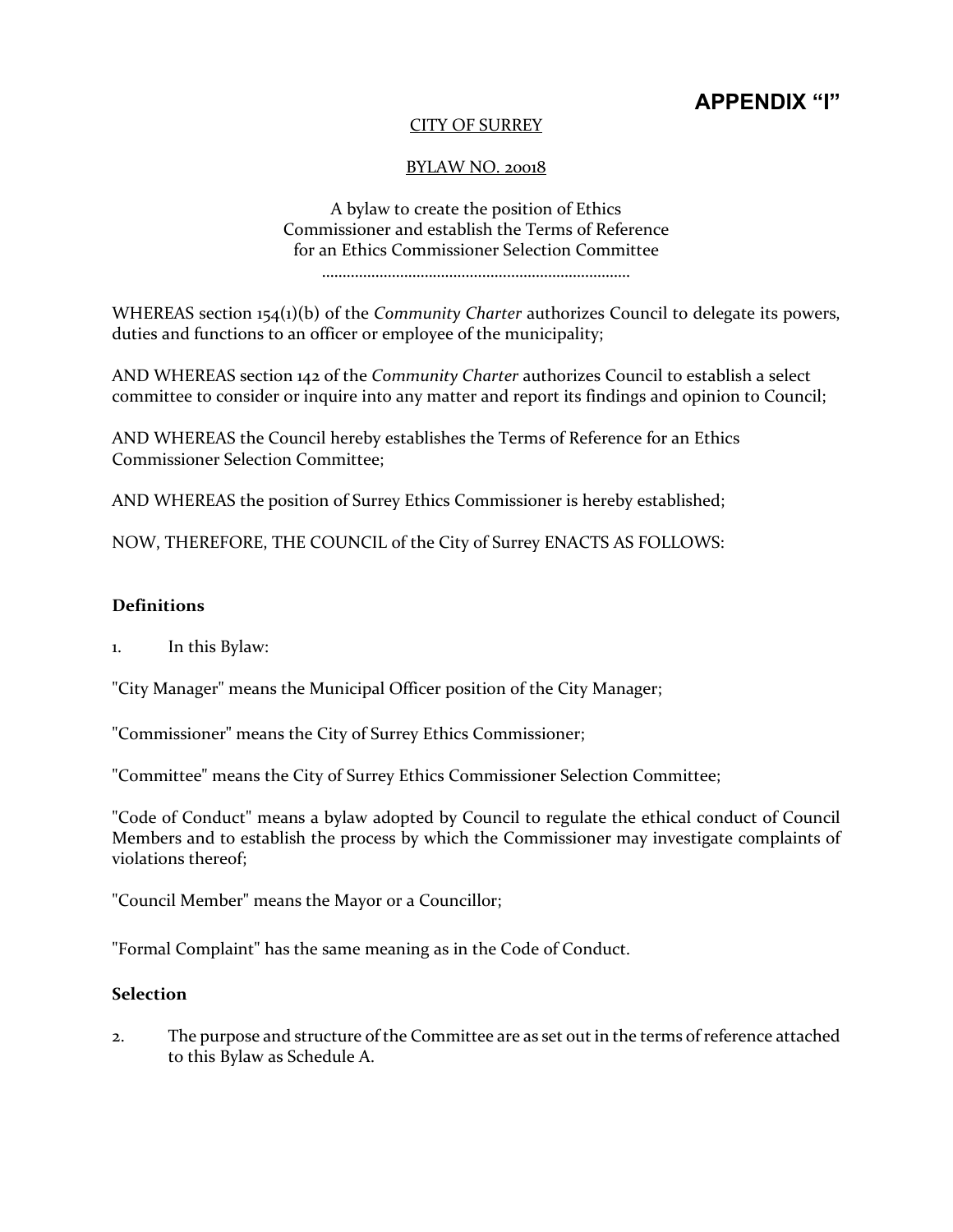## **APPENDIX "I"**

## CITY OF SURREY

## BYLAW NO. 20018

A bylaw to create the position of Ethics Commissioner and establish the Terms of Reference for an Ethics Commissioner Selection Committee …………………………………………………………………

WHEREAS section 154(1)(b) of the *Community Charter* authorizes Council to delegate its powers, duties and functions to an officer or employee of the municipality;

AND WHEREAS section 142 of the *Community Charter* authorizes Council to establish a select committee to consider or inquire into any matter and report its findings and opinion to Council;

AND WHEREAS the Council hereby establishes the Terms of Reference for an Ethics Commissioner Selection Committee;

AND WHEREAS the position of Surrey Ethics Commissioner is hereby established;

NOW, THEREFORE, THE COUNCIL of the City of Surrey ENACTS AS FOLLOWS:

## **Definitions**

1. In this Bylaw:

"City Manager" means the Municipal Officer position of the City Manager;

"Commissioner" means the City of Surrey Ethics Commissioner;

"Committee" means the City of Surrey Ethics Commissioner Selection Committee;

"Code of Conduct" means a bylaw adopted by Council to regulate the ethical conduct of Council Members and to establish the process by which the Commissioner may investigate complaints of violations thereof;

"Council Member" means the Mayor or a Councillor;

"Formal Complaint" has the same meaning as in the Code of Conduct.

## **Selection**

2. The purpose and structure of the Committee are as set out in the terms of reference attached to this Bylaw as Schedule A.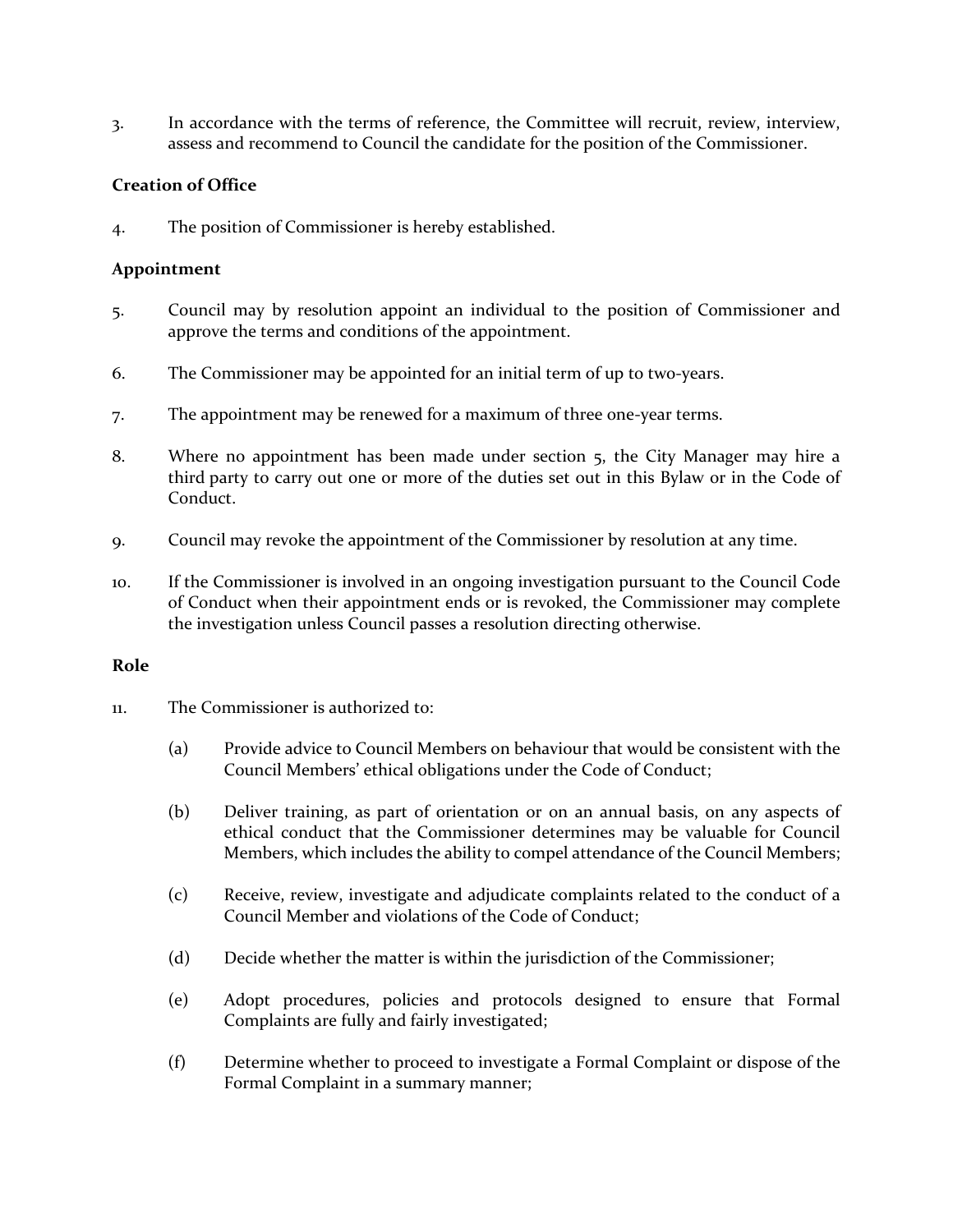3. In accordance with the terms of reference, the Committee will recruit, review, interview, assess and recommend to Council the candidate for the position of the Commissioner.

## **Creation of Office**

4. The position of Commissioner is hereby established.

## **Appointment**

- 5. Council may by resolution appoint an individual to the position of Commissioner and approve the terms and conditions of the appointment.
- 6. The Commissioner may be appointed for an initial term of up to two-years.
- 7. The appointment may be renewed for a maximum of three one-year terms.
- 8. Where no appointment has been made under section 5, the City Manager may hire a third party to carry out one or more of the duties set out in this Bylaw or in the Code of Conduct.
- 9. Council may revoke the appointment of the Commissioner by resolution at any time.
- 10. If the Commissioner is involved in an ongoing investigation pursuant to the Council Code of Conduct when their appointment ends or is revoked, the Commissioner may complete the investigation unless Council passes a resolution directing otherwise.

## **Role**

- 11. The Commissioner is authorized to:
	- (a) Provide advice to Council Members on behaviour that would be consistent with the Council Members' ethical obligations under the Code of Conduct;
	- (b) Deliver training, as part of orientation or on an annual basis, on any aspects of ethical conduct that the Commissioner determines may be valuable for Council Members, which includes the ability to compel attendance of the Council Members;
	- (c) Receive, review, investigate and adjudicate complaints related to the conduct of a Council Member and violations of the Code of Conduct;
	- (d) Decide whether the matter is within the jurisdiction of the Commissioner;
	- (e) Adopt procedures, policies and protocols designed to ensure that Formal Complaints are fully and fairly investigated;
	- (f) Determine whether to proceed to investigate a Formal Complaint or dispose of the Formal Complaint in a summary manner;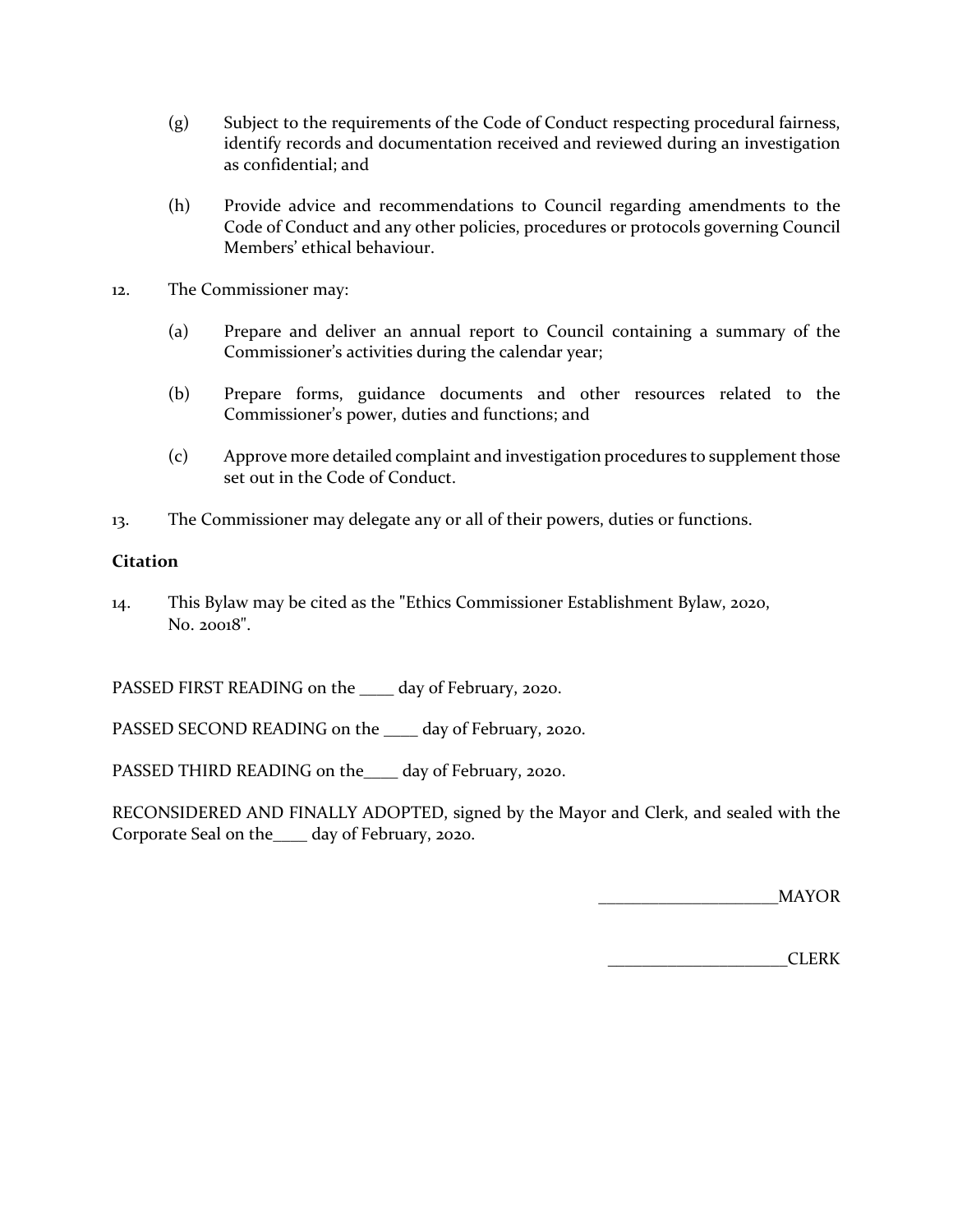- (g) Subject to the requirements of the Code of Conduct respecting procedural fairness, identify records and documentation received and reviewed during an investigation as confidential; and
- (h) Provide advice and recommendations to Council regarding amendments to the Code of Conduct and any other policies, procedures or protocols governing Council Members' ethical behaviour.
- 12. The Commissioner may:
	- (a) Prepare and deliver an annual report to Council containing a summary of the Commissioner's activities during the calendar year;
	- (b) Prepare forms, guidance documents and other resources related to the Commissioner's power, duties and functions; and
	- (c) Approve more detailed complaint and investigation procedures to supplement those set out in the Code of Conduct.
- 13. The Commissioner may delegate any or all of their powers, duties or functions.

## **Citation**

14. This Bylaw may be cited as the **"**Ethics Commissioner Establishment Bylaw, 2020, No. 20018".

PASSED FIRST READING on the \_\_\_\_ day of February, 2020.

PASSED SECOND READING on the \_\_\_\_ day of February, 2020.

PASSED THIRD READING on the\_\_\_\_ day of February, 2020.

RECONSIDERED AND FINALLY ADOPTED, signed by the Mayor and Clerk, and sealed with the Corporate Seal on the\_\_\_\_ day of February, 2020.

\_\_\_\_\_\_\_\_\_\_\_\_\_\_\_\_\_\_\_\_\_MAYOR

\_\_\_\_\_\_\_\_\_\_\_\_\_\_\_\_\_\_\_\_\_CLERK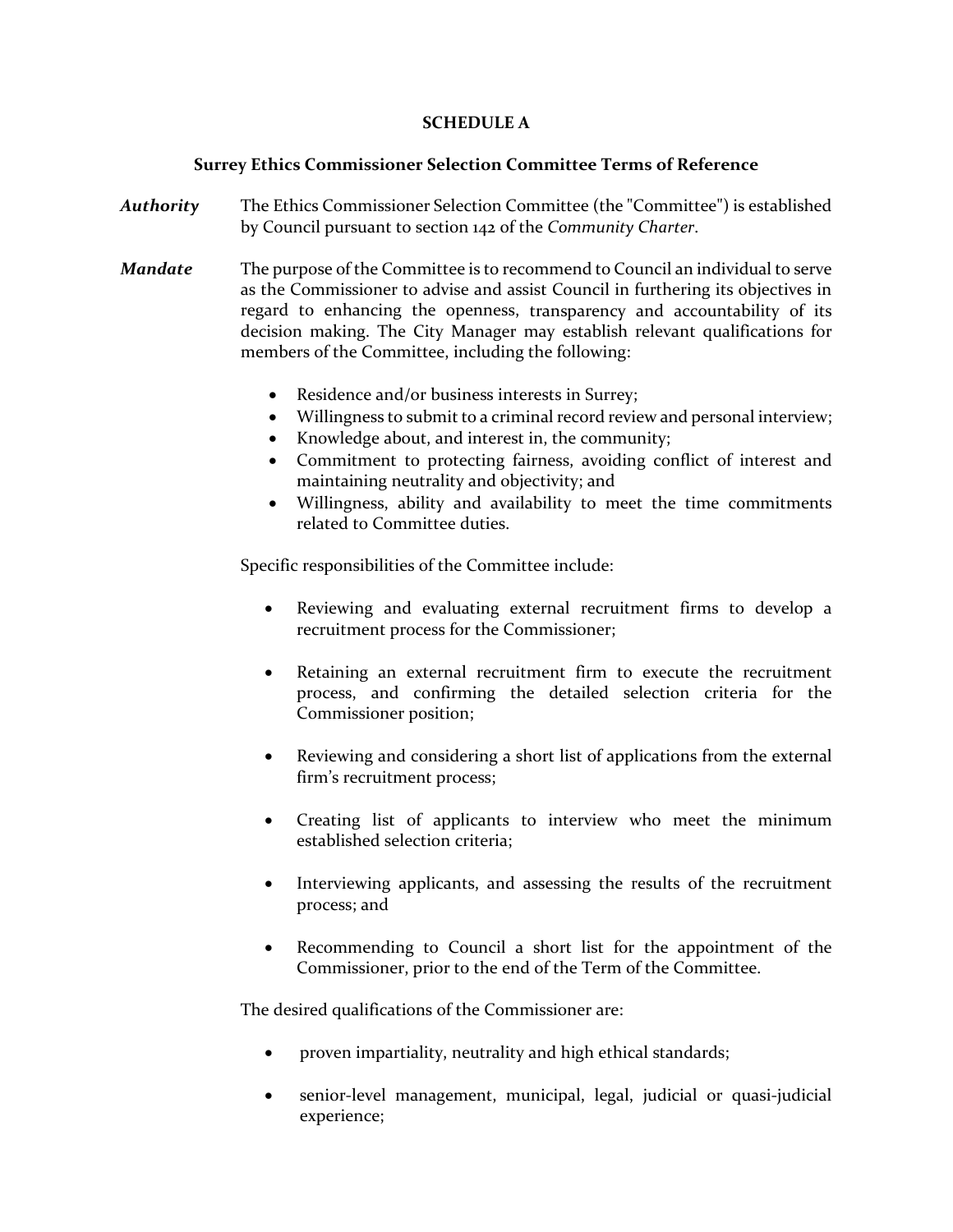## **SCHEDULE A**

## **Surrey Ethics Commissioner Selection Committee Terms of Reference**

- *Authority* The Ethics Commissioner Selection Committee (the "Committee") is established by Council pursuant to section 142 of the *Community Charter*.
- *Mandate* The purpose of the Committee is to recommend to Council an individual to serve as the Commissioner to advise and assist Council in furthering its objectives in regard to enhancing the openness, transparency and accountability of its decision making. The City Manager may establish relevant qualifications for members of the Committee, including the following:
	- Residence and/or business interests in Surrey;
	- Willingness to submit to a criminal record review and personal interview;
	- Knowledge about, and interest in, the community;
	- Commitment to protecting fairness, avoiding conflict of interest and maintaining neutrality and objectivity; and
	- Willingness, ability and availability to meet the time commitments related to Committee duties.

Specific responsibilities of the Committee include:

- Reviewing and evaluating external recruitment firms to develop a recruitment process for the Commissioner;
- Retaining an external recruitment firm to execute the recruitment process, and confirming the detailed selection criteria for the Commissioner position;
- Reviewing and considering a short list of applications from the external firm's recruitment process;
- Creating list of applicants to interview who meet the minimum established selection criteria;
- Interviewing applicants, and assessing the results of the recruitment process; and
- Recommending to Council a short list for the appointment of the Commissioner, prior to the end of the Term of the Committee.

The desired qualifications of the Commissioner are:

- proven impartiality, neutrality and high ethical standards;
- senior-level management, municipal, legal, judicial or quasi-judicial experience;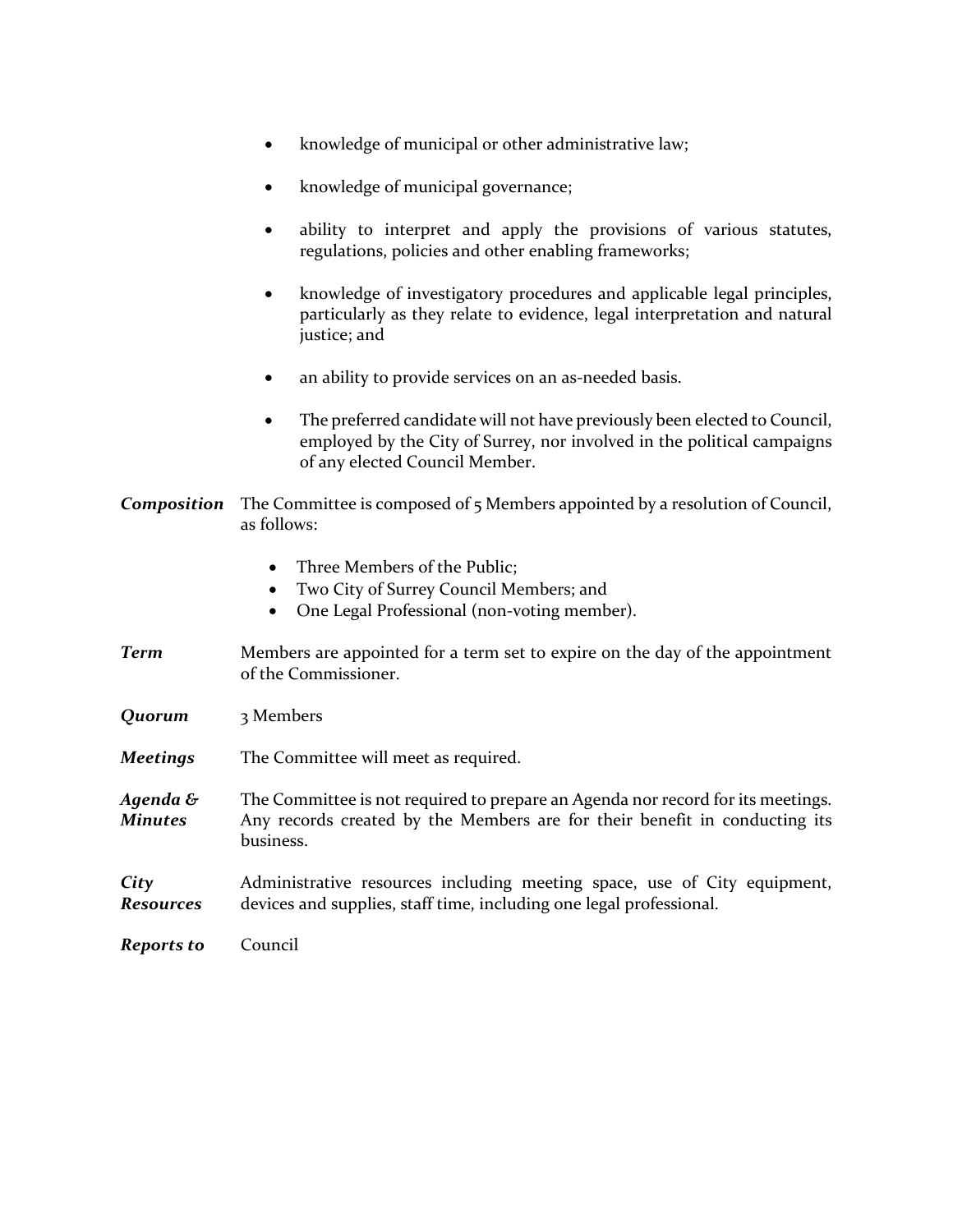|  |  |  | knowledge of municipal or other administrative law; |  |
|--|--|--|-----------------------------------------------------|--|
|--|--|--|-----------------------------------------------------|--|

- knowledge of municipal governance;
- ability to interpret and apply the provisions of various statutes, regulations, policies and other enabling frameworks;
- knowledge of investigatory procedures and applicable legal principles, particularly as they relate to evidence, legal interpretation and natural justice; and
- an ability to provide services on an as-needed basis.
- The preferred candidate will not have previously been elected to Council, employed by the City of Surrey, nor involved in the political campaigns of any elected Council Member.
- *Composition* The Committee is composed of 5 Members appointed by a resolution of Council, as follows:
	- Three Members of the Public:
	- Two City of Surrey Council Members; and
	- One Legal Professional (non-voting member).
- *Term* Members are appointed for a term set to expire on the day of the appointment of the Commissioner.
- *Quorum* 3 Members
- *Meetings* The Committee will meet as required.
- *Agenda & Minutes* The Committee is not required to prepare an Agenda nor record for its meetings. Any records created by the Members are for their benefit in conducting its business.

#### *City Resources* Administrative resources including meeting space, use of City equipment, devices and supplies, staff time, including one legal professional.

*Reports to* Council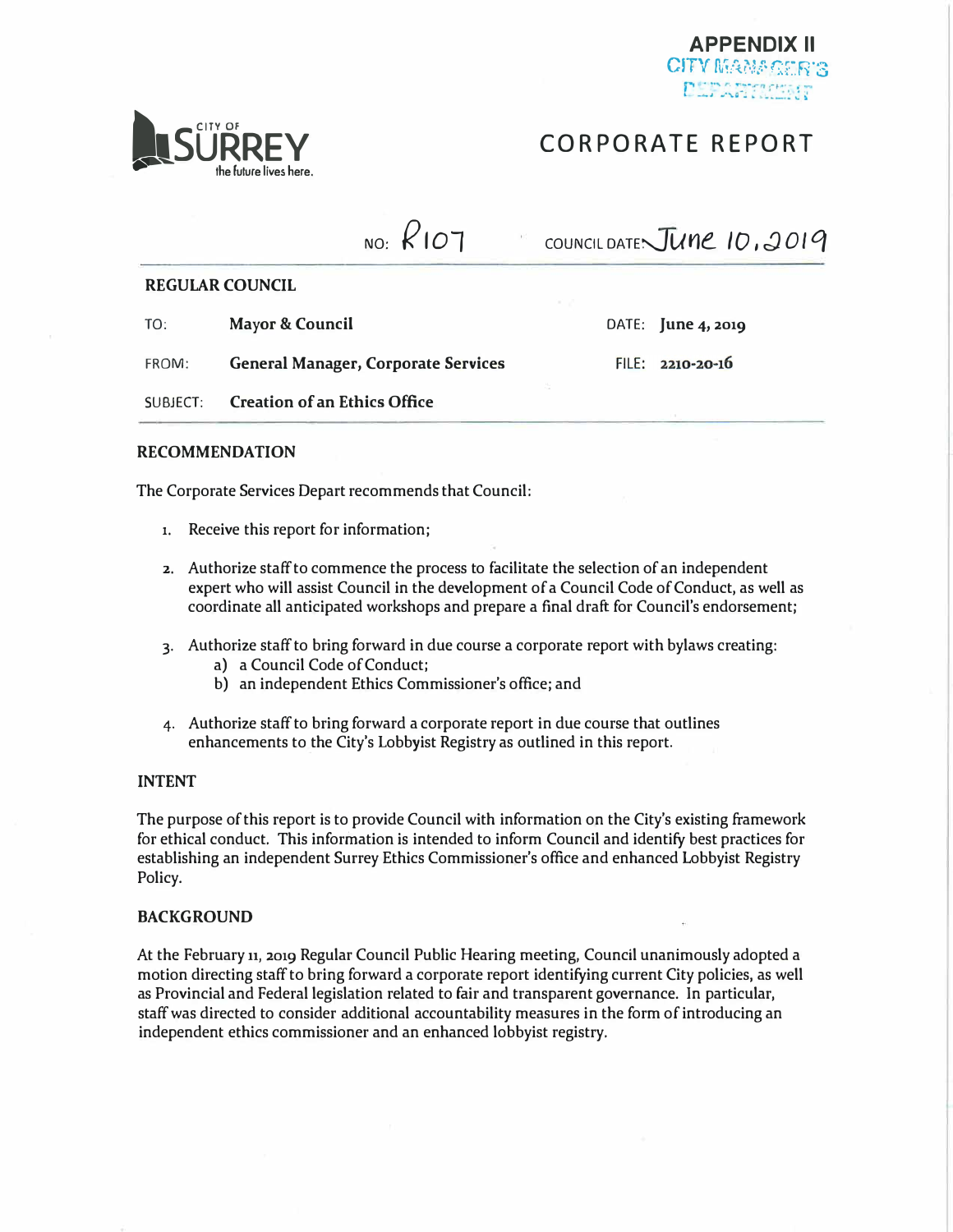

## **CORPORATE REPORT**

**LESURREY** 

## NO: **/<107**   $COMNCILDATE\sqrt{U}$ <sup>10,2019</sup>

**REGULAR COUNCIL** 

| TO:   | Mayor & Council                            |  | DATE: $\lim_{x \to 2}$ 2019 |
|-------|--------------------------------------------|--|-----------------------------|
| FROM: | <b>General Manager, Corporate Services</b> |  | $FILE: 2210 - 20 - 16$      |
|       | SUBJECT: Creation of an Ethics Office      |  |                             |

#### **RECOMMENDATION**

The Corporate Services Depart recommends that Council:

- **1.** Receive this report for information;
- **2.** Authorize staff to commence the process to facilitate the selection of an independent expert who will assist Council in the development of a Council Code of Conduct, as well as coordinate all anticipated workshops and prepare a final draft for Council's endorsement;
- 3. Authorize staff to bring forward in due course a corporate report with bylaws creating:
	- a) a Council Code of Conduct;
	- b) an independent Ethics Commissioner's office; and
- 4. Authorize staff to bring forward a corporate report in due course that outlines enhancements to the City's Lobbyist Registry as outlined in this report.

#### **INTENT**

The purpose of this report is to provide Council with information on the City's existing framework for ethical conduct. This information is intended to inform Council and identify best practices for establishing an independent Surrey Ethics Commissioner's office and enhanced Lobbyist Registry Policy.

#### **BACKGROUND**

At the February n, 2019 Regular Council Public Hearing meeting, Council unanimously adopted a motion directing staff to bring forward a corporate report identifying current City policies, as well as Provincial and Federal legislation related to fair and transparent governance. In particular, staff was directed to consider additional accountability measures in the form of introducing an independent ethics commissioner and an enhanced lobbyist registry.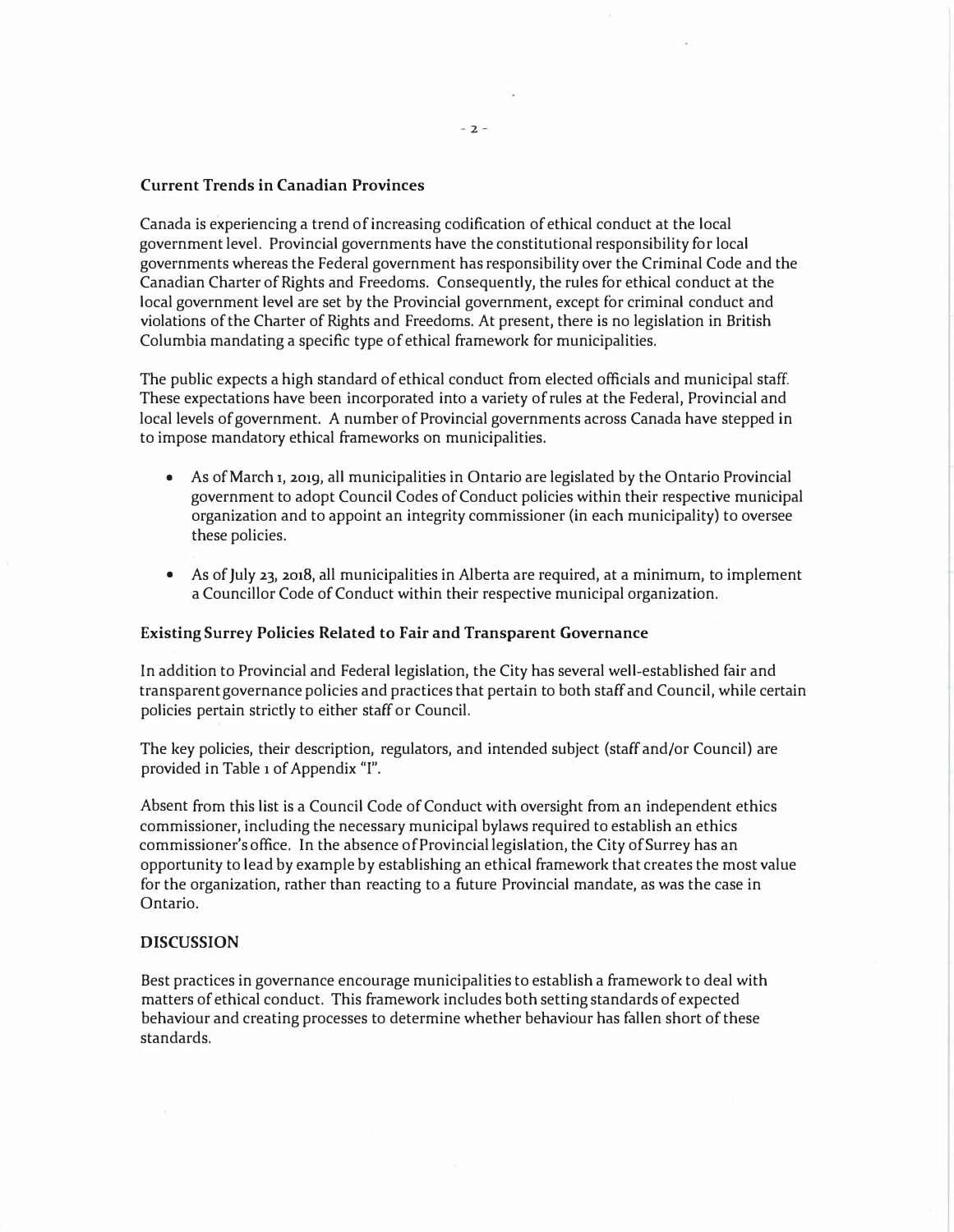#### **Current Trends in Canadian Provinces**

*Canada is experiencing a trend of increasing codification of ethical conduct at the local government level. Provincial governments have the constitutional responsibility for local governments whereas the Federal government has responsibility over the Criminal Code and the Canadian Charter of Rights and Freedoms. Consequently, the rules for ethical conduct at the local government level are set by the Provincial government, except for criminal conduct and violations of the Charter of Rights and Freedoms. At present, there is no legislation in British Columbia mandating a specific type of ethical framework for municipalities.* 

*The public expects a high standard of ethical conduct from elected officials and municipal staff. These expectations have been incorporated into a variety of rules at the Federal, Provincial and local levels of government. A number of Provincial governments across Canada have stepped in to impose mandatory ethical frameworks on municipalities.* 

- *As of March* 1, 2019, *all municipalities in Ontario are legislated by the Ontario Provincial government to adopt Council Codes of Conduct policies within their respective municipal organization and to appoint an integrity commissioner (in each municipality) to oversee these policies.*
- *As of July* <sup>23</sup>**1** 2018**1** *all municipalities in Alberta are required, at a minimum, to implement a Councillor Code of Conduct within their respective municipal organization.*

#### **Existing Surrey Policies Related to Fair and Transparent Governance**

*ln addition to Provincial and Federal legislation, the City has several well-established fair and transparent governance policies and practices that pertain to both staff and Council, while certain policies pertain strictly to either staff or Council.* 

*The key policies, their description, regulators, and intended subject (staff and/or Council) are provided in Table* **1** *of Appendix "I".* 

*Absent from this list is a Council Code of Conduct with oversight from an independent ethics commissioner, including the necessary municipal bylaws required to establish an ethics commissioner's office. In the absence of Provincial legislation, the City of Surrey has an opportunity to lead by example by establishing an ethical framework that creates the most value for the organization, rather than reacting to a future Provincial mandate, as was the case in Ontario.* 

#### **DISCUSSION**

*Best practices in governance encourage municipalities to establish a framework to deal with matters of ethical conduct. This framework includes both setting standards of expected behaviour and creating processes to determine whether behaviour has fallen short of these standards.*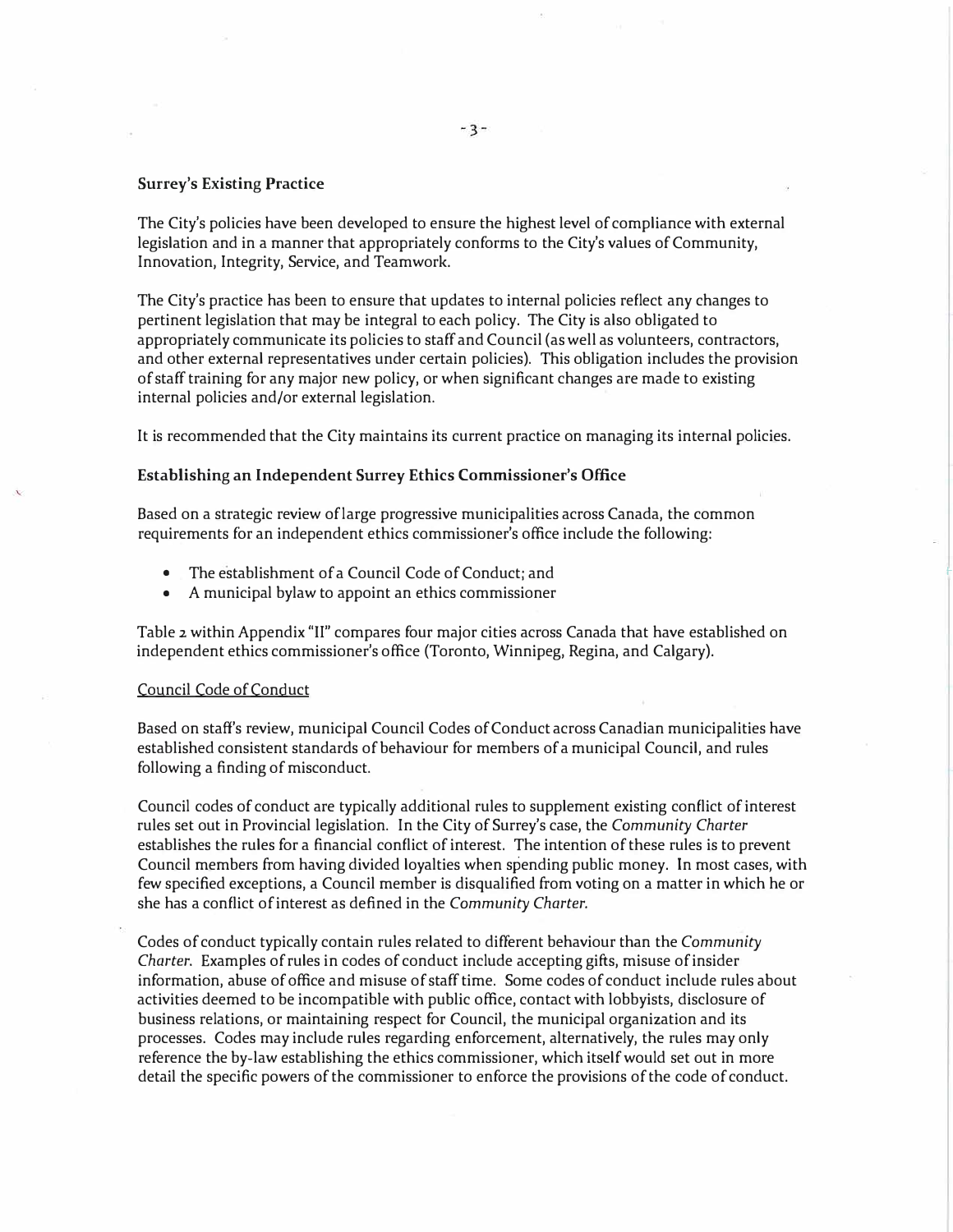#### *Surrey's Existing Practice*

*The City's policies have been developed to ensure the highest level of compliance with external legislation and in a manner that appropriately conforms to the City's values of Community, Innovation, Integrity, Service, and Teamwork.* 

*The City's practice has been to ensure that updates to internal policies reflect any changes to pertinent legislation that may be integral to each policy. The City is also obligated to appropriately communicate its policies to staff and Council (as well as volunteers, contractors, and other external representatives under certain policies). This obligation includes the provision of staff training for any major new policy, or when significant changes are made to existing internal policies and/or external legislation.* 

*It is recommended that the City maintains its current practice on managing its internal policies.* 

#### *Establishing an Independent Surrey Ethics Commissioner's Office*

*Based on a strategic review oflarge progressive municipalities across Canada, the common requirements for an independent ethics commissioner's office include the following:* 

- *The establishment of a Council Code of Conduct; and*
- *A municipal bylaw to appoint an ethics commissioner*

*Table* 2 *within Appendix "II" compares four major cities across Canada that have established on independent ethics commissioner's office (Toronto, Winnipeg, Regina, and Calgary).* 

#### *Council Code of Conduct*

*Based on staff's review, municipal Council Codes of Conduct across Canadian municipalities have established consistent standards of behaviour for members of a municipal Council, and rules following a finding of misconduct.* 

*Council codes of conduct are typically additional rules to supplement existing conflict of interest rules set out in Provincial legislation. In the City of Surrey's case, the Community Charter establishes the rules for a financial conflict of interest. The intention of these rules is to prevent Council members from having divided loyalties when spending public money. In most cases, with few specified exceptions, a Council member is disqualified from voting on a matter in which he or she has a conflict of interest as defined in the Community Charter.* 

*Codes of conduct typically contain rules related to different behaviour than the Community Charter. Examples of rules in codes of conduct include accepting gifts, misuse of insider information, abuse of office and misuse of staff time. Some codes of conduct include rules about activities deemed to be incompatible with public office, contact with lobbyists, disclosure of business relations, or maintaining respect for Council, the municipal organization and its processes. Codes may include rules regarding enforcement, alternatively, the rules may only reference the by-law establishing the ethics commissioner, which itself would set out in more detail the specific powers of the commissioner to enforce the provisions of the code of conduct.*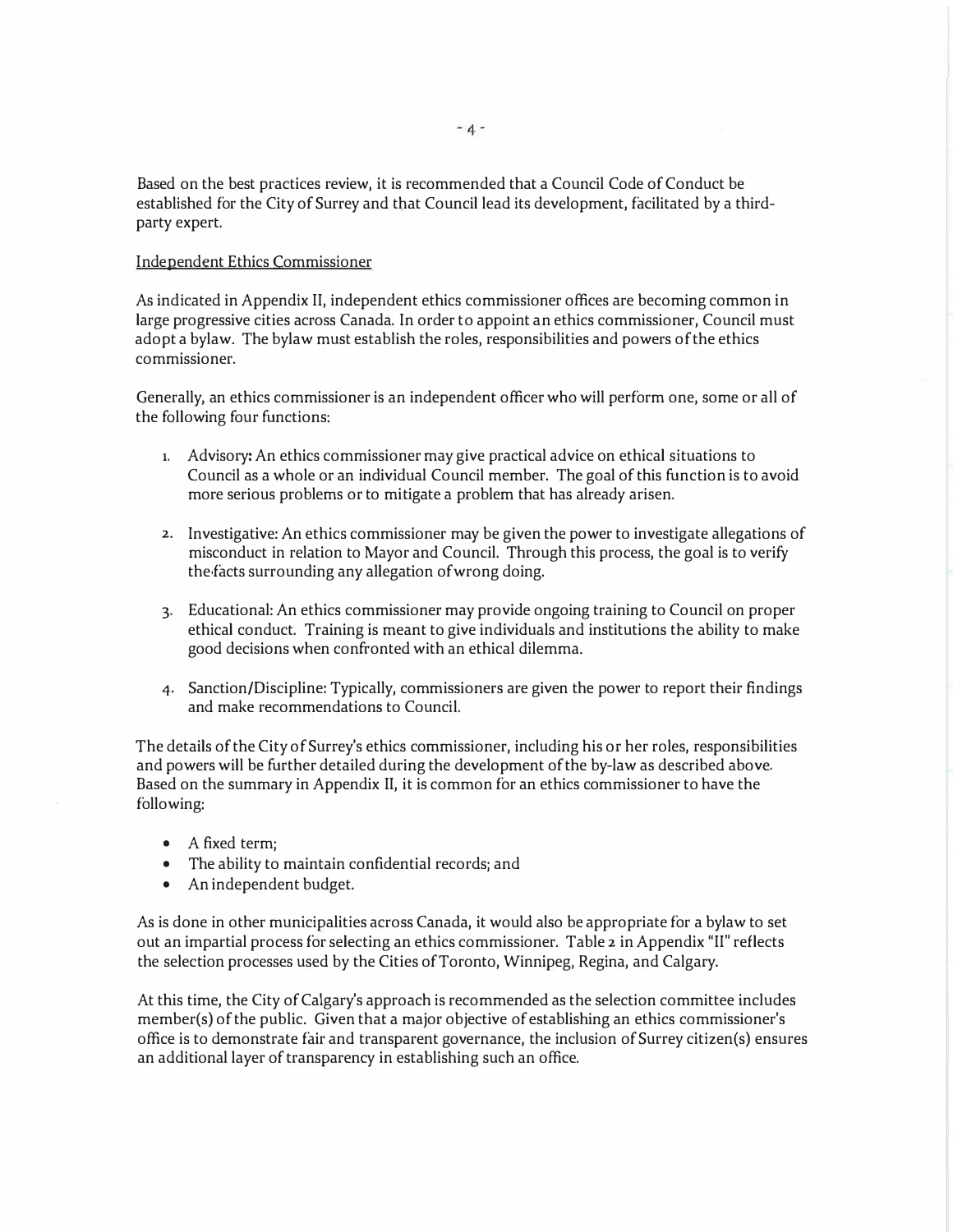Based on the best practices review, it is recommended that a Council Code of Conduct be established for the City of Surrey and that Council lead its development, facilitated by a thirdparty expert.

### Independent Ethics Commissioner

As indicated in Appendix II, independent ethics commissioner offices are becoming common in large progressive cities across Canada. In order to appoint an ethics commissioner, Council must adopt a bylaw. The bylaw must establish the roles, responsibilities and powers of the ethics commissioner.

Generally, an ethics commissioner is an independent officer who will perform one, some or all of the following four functions:

- **1.** Advisory: An ethics commissioner may give practical advice on ethical situations to Council as a whole or an individual Council member. The goal of this function is to avoid more serious problems or to mitigate a problem that has already arisen.
- 2. Investigative: An ethics commissioner may be given the power to investigate allegations of misconduct in relation to Mayor and Council. Through this process, the goal is to verify the,facts surrounding any allegation of wrong doing.
- 3. Educational: An ethics commissioner may provide ongoing training to Council on proper ethical conduct. Training is meant to give individuals and institutions the ability to make good decisions when confronted with an ethical dilemma.
- 4. Sanction/Discipline: Typically, commissioners are given the power to report their findings and make recommendations to Council.

The details of the City of Surrey's ethics commissioner, including his or her roles, responsibilities and powers will be further detailed during the development of the by-law as described above. Based on the summary in Appendix II, it is common for an ethics commissioner to have the following:

- A fixed term;
- The ability to maintain confidential records; and
- An independent budget.

As is done in other municipalities across Canada, it would also be appropriate for a bylaw to set out an impartial process for selecting an ethics commissioner. Table 2 in Appendix "II" reflects the selection processes used by the Cities of Toronto, Winnipeg, Regina, and Calgary.

At this time, the City of Calgary's approach is recommended as the selection committee includes member(s) of the public. Given that a major objective of establishing an ethics commissioner's office is to demonstrate fair and transparent governance, the inclusion of Surrey citizen(s) ensures an additional layer of transparency in establishing such an office.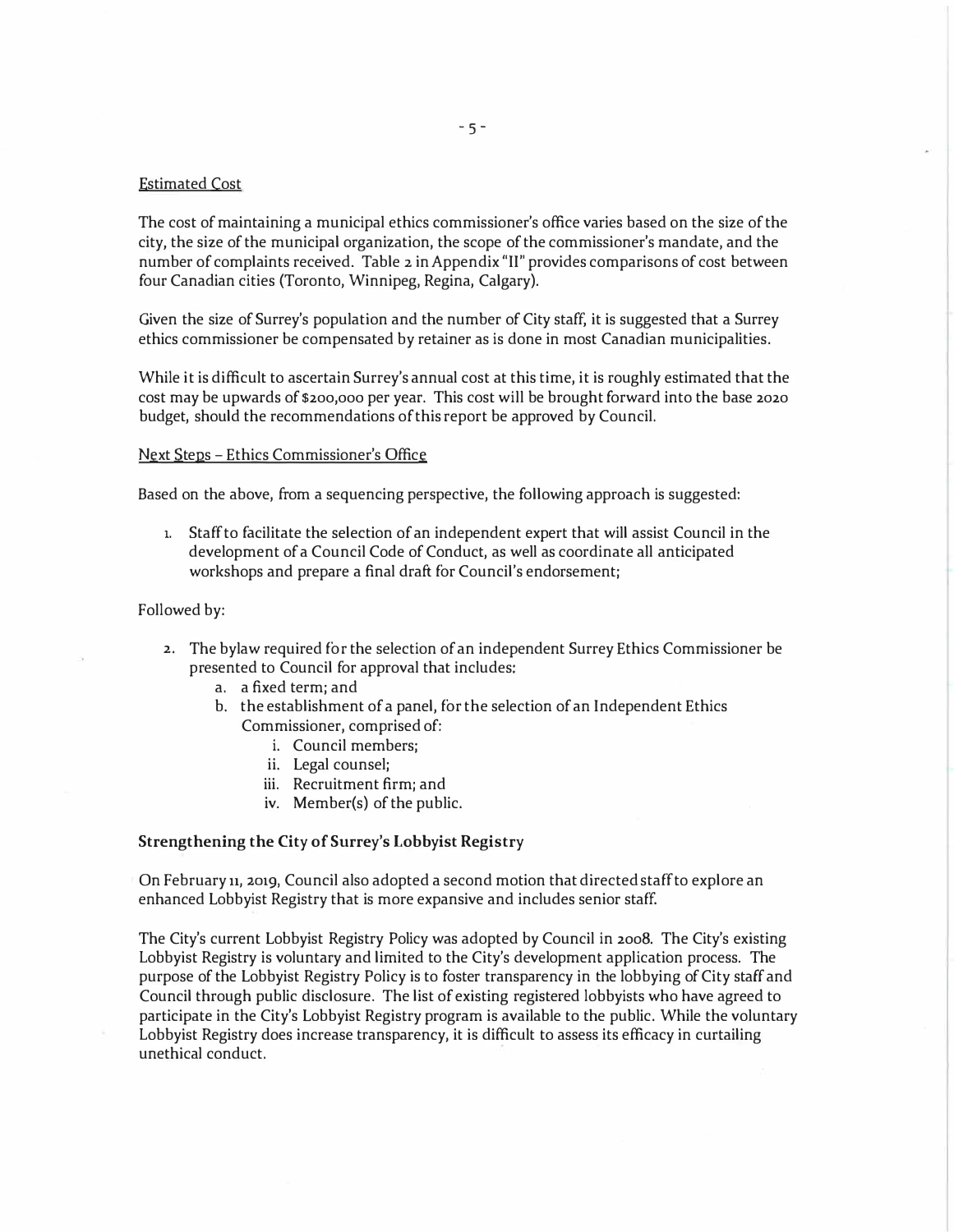### *Estimated Cost*

*The cost of maintaining a municipal ethics commissioner's office varies based on the size of the city, the size of the municipal organization, the scope of the commissioner's mandate, and the number of complaints received. Table* 2 *in Appendix "II" provides comparisons of cost between four Canadian cities (Toronto, Winnipeg, Regina, Calgary).* 

*Given the size of Surrey's population and the number of City staff, it is suggested that a Surrey ethics commissioner be compensated by retainer as is done in most Canadian municipalities.* 

*While it is difficult to ascertain Surrey's annual cost at this time, it is roughly estimated that the cost may be upwards of* \$200,000 *per year. This cost will be brought forward into the base* <sup>2020</sup> *budget, should the recommendations of this report be approved by Council.* 

#### *Next Steps - Ethics Commissioner's Office*

*Based on the above, from a sequencing perspective, the following approach is suggested:* 

1. *Staff to facilitate the selection of an independent expert that will assist Council in the development of a Council Code of Conduct, as well as coordinate all anticipated workshops and prepare a final draft for Council's endorsement;* 

#### *Followed by:*

- 2. *The bylaw required for the selection of an independent Surrey Ethics Commissioner be presented to Council for approval that includes:* 
	- *a. a fixed term; and*
	- *b. the establishment of a panel, for the selection of an Independent Ethics Commissioner, comprised of:* 
		- *i. Council members;*
		- *ii. Legal counsel;*
		- *iii. Recruitment firm; and*
		- *iv. Member(s) of the public.*

#### **Strengthening the City of Surrey's Lobbyist Registry**

*On February* **11,** *2019, Council also adopted a second motion that directed staff to explore an enhanced Lobbyist Registry that is more expansive and includes senior staff.* 

*The City's current Lobbyist Registry Policy was adopted by Council in 2008. The City's existing Lobbyist Registry is voluntary and limited to the City's development application process. The purpose of the Lobbyist Registry Policy is to foster transparency in the lobbying of City staff and Council through public disclosure. The list of existing registered lobbyists who have agreed to participate in the City's Lobbyist Registry program is available to the public. While the voluntary Lobbyist Registry does increase transparency, it is difficult to assess its efficacy in curtailing unethical conduct.*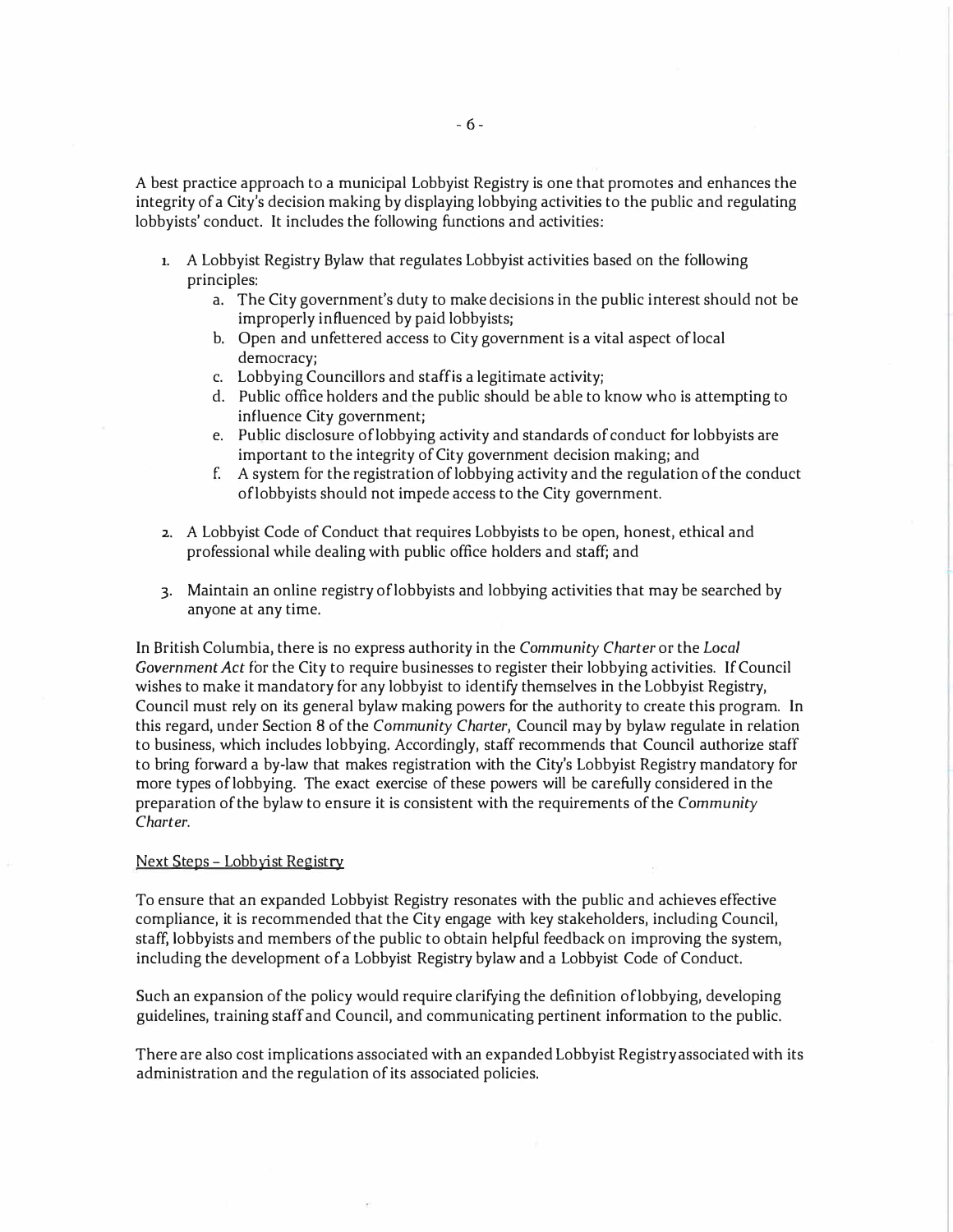A best practice approach to a municipal Lobbyist Registry is one that promotes and enhances the integrity of a City's decision making by displaying lobbying activities to the public and regulating lobbyists' conduct. It includes the following functions and activities:

- **1.** A Lobbyist Registry Bylaw that regulates Lobbyist activities based on the following principles:
	- a. The City government's duty to make decisions in the public interest should not be improperly influenced by paid lobbyists;
	- b. Open and unfettered access to City government is a vital aspect of local democracy;
	- c. Lobbying Councillors and staffis a legitimate activity;
	- d. Public office holders and the public should be able to know who is attempting to influence City government;
	- e. Public disclosure oflobbying activity and standards of conduct for lobbyists are important to the integrity of City government decision making; and
	- f. A system for the registration of lobbying activity and the regulation of the conduct oflobbyists should not impede access to the City government.
- 2. A Lobbyist Code of Conduct that requires Lobbyists to be open, honest, ethical and professional while dealing with public office holders and staff; and
- 3. Maintain an online registry oflobbyists and lobbying activities that may be searched by anyone at any time.

In British Columbia, there is no express authority in the *Community Charter* or the *Local Government Act* for the City to require businesses to register their lobbying activities. If Council wishes to make it mandatory for any lobbyist to identify themselves in the Lobbyist Registry, Council must rely on its general bylaw making powers for the authority to create this program. In this regard, under Section 8 of the *Community Charter,* Council may by bylaw regulate in relation to business, which includes lobbying. Accordingly, staff recommends that Council authorize staff to bring forward a by-law that makes registration with the City's Lobbyist Registry mandatory for more types oflobbying. The exact exercise of these powers will be carefully considered in the preparation of the bylaw to ensure it is consistent with the requirements of the *Community Charter.* 

#### Next Steps - Lobbyist Registry

To ensure that an expanded Lobbyist Registry resonates with the public and achieves effective compliance, it is recommended that the City engage with key stakeholders, including Council, staff, lobbyists and members of the public to obtain helpful feedback on improving the system, including the development ofa Lobbyist Registry bylaw and a Lobbyist Code of Conduct.

Such an expansion of the policy would require clarifying the definition oflobbying, developing guidelines, training staff and Council, and communicating pertinent information to the public.

There are also cost implications associated with an expanded Lobbyist Registry associated with its administration and the regulation of its associated policies.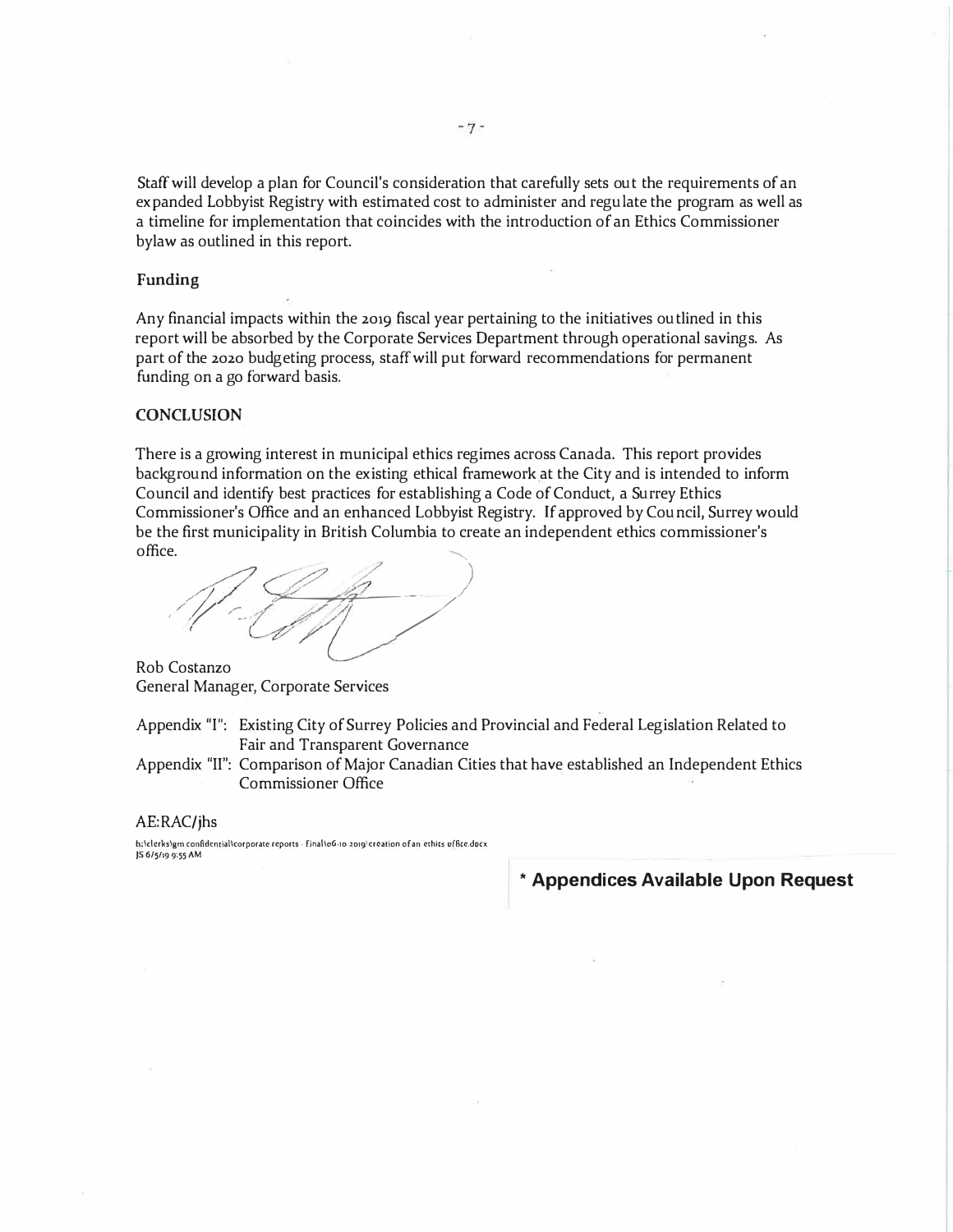Staff will develop a plan for Council's consideration that carefully sets out the requirements of an expanded Lobbyist Registry with estimated cost to administer and regulate the program as well as a timeline for implementation that coincides with the introduction of an Ethics Commissioner bylaw as outlined in this report.

#### **Funding**

Any financial impacts within the 2019 fiscal year pertaining to the initiatives outlined in this report will be absorbed by the Corporate Services Department through operational savings. As part of the 2020 budgeting process, staff will put forward recommendations for permanent funding on a go forward basis.

#### **CONCLUSION**

There is a growing interest in municipal ethics regimes across Canada. This report provides background information on the existing ethical framework at the City and is intended to inform Council and identify best practices for establishing a Code of Conduct, a Surrey Ethics Commissioner's Office and an enhanced Lobbyist Registry. If approved by Council, Surrey would be the first municipality in British Columbia to create an independent ethics commissioner's office.  $\blacksquare$ 

.. *)*   $\mathscr{A}$   $\mathscr{C}$  $\mathscr{M}/\mathscr{M}$ 

Rob Costanzo General Manager, Corporate Services

Appendix "I": Existing City of Surrey Policies and Provincial and Federal Legislation Related to Fair and Transparent Governance

Appendix "II": Comparison of Major Canadian Cities that have established an Independent Ethics Commissioner Office

#### AE:RAC/jhs

**h;\clcrks\gm conAdcntial\corpocate reports • final\06-10 .2019\crcation ofan ethics uffice.docx JS 6/5/19 9,55 AM** 

**\* Appendices Available Upon Request**